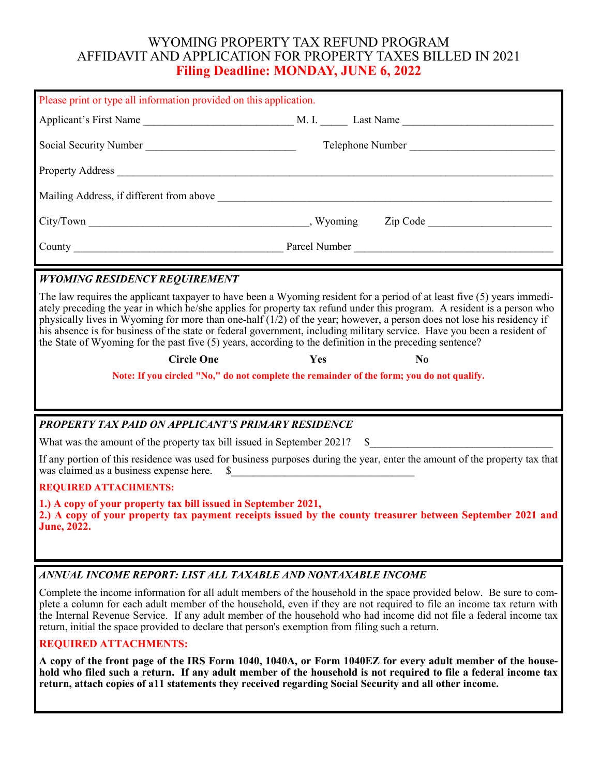# WYOMING PROPERTY TAX REFUND PROGRAM AFFIDAVIT AND APPLICATION FOR PROPERTY TAXES BILLED IN 2021 **Filing Deadline: MONDAY, JUNE 6, 2022**

| Please print or type all information provided on this application.                                                                                                                                                                                                                                                                                                                                                                                                                                                                                                                                                    |                                                                                                                                                                                                                                                                                                                                                                      |  |  |  |  |  |
|-----------------------------------------------------------------------------------------------------------------------------------------------------------------------------------------------------------------------------------------------------------------------------------------------------------------------------------------------------------------------------------------------------------------------------------------------------------------------------------------------------------------------------------------------------------------------------------------------------------------------|----------------------------------------------------------------------------------------------------------------------------------------------------------------------------------------------------------------------------------------------------------------------------------------------------------------------------------------------------------------------|--|--|--|--|--|
|                                                                                                                                                                                                                                                                                                                                                                                                                                                                                                                                                                                                                       |                                                                                                                                                                                                                                                                                                                                                                      |  |  |  |  |  |
|                                                                                                                                                                                                                                                                                                                                                                                                                                                                                                                                                                                                                       | Telephone Number                                                                                                                                                                                                                                                                                                                                                     |  |  |  |  |  |
|                                                                                                                                                                                                                                                                                                                                                                                                                                                                                                                                                                                                                       | Property Address                                                                                                                                                                                                                                                                                                                                                     |  |  |  |  |  |
|                                                                                                                                                                                                                                                                                                                                                                                                                                                                                                                                                                                                                       |                                                                                                                                                                                                                                                                                                                                                                      |  |  |  |  |  |
|                                                                                                                                                                                                                                                                                                                                                                                                                                                                                                                                                                                                                       |                                                                                                                                                                                                                                                                                                                                                                      |  |  |  |  |  |
|                                                                                                                                                                                                                                                                                                                                                                                                                                                                                                                                                                                                                       |                                                                                                                                                                                                                                                                                                                                                                      |  |  |  |  |  |
| <b>WYOMING RESIDENCY REQUIREMENT</b>                                                                                                                                                                                                                                                                                                                                                                                                                                                                                                                                                                                  |                                                                                                                                                                                                                                                                                                                                                                      |  |  |  |  |  |
| The law requires the applicant taxpayer to have been a Wyoming resident for a period of at least five (5) years immedi-<br>ately preceding the year in which he/she applies for property tax refund under this program. A resident is a person who<br>physically lives in Wyoming for more than one-half $(1/2)$ of the year; however, a person does not lose his residency if<br>his absence is for business of the state or federal government, including military service. Have you been a resident of<br>the State of Wyoming for the past five (5) years, according to the definition in the preceding sentence? |                                                                                                                                                                                                                                                                                                                                                                      |  |  |  |  |  |
| <b>Circle One</b>                                                                                                                                                                                                                                                                                                                                                                                                                                                                                                                                                                                                     | Yes<br>N <sub>0</sub>                                                                                                                                                                                                                                                                                                                                                |  |  |  |  |  |
| Note: If you circled "No," do not complete the remainder of the form; you do not qualify.                                                                                                                                                                                                                                                                                                                                                                                                                                                                                                                             |                                                                                                                                                                                                                                                                                                                                                                      |  |  |  |  |  |
| PROPERTY TAX PAID ON APPLICANT'S PRIMARY RESIDENCE                                                                                                                                                                                                                                                                                                                                                                                                                                                                                                                                                                    |                                                                                                                                                                                                                                                                                                                                                                      |  |  |  |  |  |
|                                                                                                                                                                                                                                                                                                                                                                                                                                                                                                                                                                                                                       |                                                                                                                                                                                                                                                                                                                                                                      |  |  |  |  |  |
| If any portion of this residence was used for business purposes during the year, enter the amount of the property tax that<br>was claimed as a business expense here. \$                                                                                                                                                                                                                                                                                                                                                                                                                                              |                                                                                                                                                                                                                                                                                                                                                                      |  |  |  |  |  |
| <b>REQUIRED ATTACHMENTS:</b>                                                                                                                                                                                                                                                                                                                                                                                                                                                                                                                                                                                          |                                                                                                                                                                                                                                                                                                                                                                      |  |  |  |  |  |
| 1.) A copy of your property tax bill issued in September 2021,<br>2.) A copy of your property tax payment receipts issued by the county treasurer between September 2021 and<br><b>June</b> , 2022.                                                                                                                                                                                                                                                                                                                                                                                                                   |                                                                                                                                                                                                                                                                                                                                                                      |  |  |  |  |  |
| ANNUAL INCOME REPORT: LIST ALL TAXABLE AND NONTAXABLE INCOME                                                                                                                                                                                                                                                                                                                                                                                                                                                                                                                                                          |                                                                                                                                                                                                                                                                                                                                                                      |  |  |  |  |  |
| return, initial the space provided to declare that person's exemption from filing such a return.                                                                                                                                                                                                                                                                                                                                                                                                                                                                                                                      | Complete the income information for all adult members of the household in the space provided below. Be sure to com-<br>plete a column for each adult member of the household, even if they are not required to file an income tax return with<br>the Internal Revenue Service. If any adult member of the household who had income did not file a federal income tax |  |  |  |  |  |

### **REQUIRED ATTACHMENTS:**

**A copy of the front page of the IRS Form 1040, 1040A, or Form 1040EZ for every adult member of the household who filed such a return. If any adult member of the household is not required to file a federal income tax return, attach copies of a11 statements they received regarding Social Security and all other income.**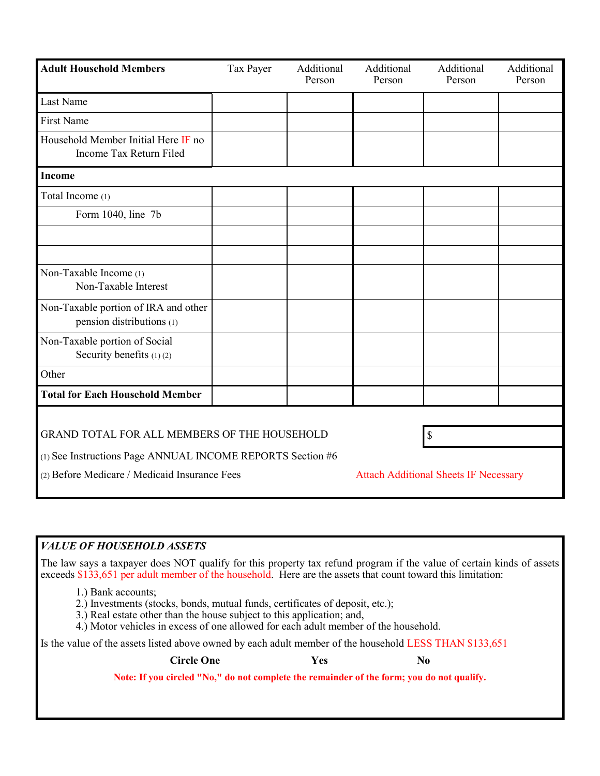| <b>Adult Household Members</b>                                    | Tax Payer | Additional<br>Person | Additional<br>Person                         | Additional<br>Person | Additional<br>Person |  |  |
|-------------------------------------------------------------------|-----------|----------------------|----------------------------------------------|----------------------|----------------------|--|--|
| Last Name                                                         |           |                      |                                              |                      |                      |  |  |
| First Name                                                        |           |                      |                                              |                      |                      |  |  |
| Household Member Initial Here IF no<br>Income Tax Return Filed    |           |                      |                                              |                      |                      |  |  |
| <b>Income</b>                                                     |           |                      |                                              |                      |                      |  |  |
| Total Income (1)                                                  |           |                      |                                              |                      |                      |  |  |
| Form 1040, line 7b                                                |           |                      |                                              |                      |                      |  |  |
|                                                                   |           |                      |                                              |                      |                      |  |  |
|                                                                   |           |                      |                                              |                      |                      |  |  |
| Non-Taxable Income (1)<br>Non-Taxable Interest                    |           |                      |                                              |                      |                      |  |  |
| Non-Taxable portion of IRA and other<br>pension distributions (1) |           |                      |                                              |                      |                      |  |  |
| Non-Taxable portion of Social<br>Security benefits (1)(2)         |           |                      |                                              |                      |                      |  |  |
| Other                                                             |           |                      |                                              |                      |                      |  |  |
| <b>Total for Each Household Member</b>                            |           |                      |                                              |                      |                      |  |  |
|                                                                   |           |                      |                                              |                      |                      |  |  |
| GRAND TOTAL FOR ALL MEMBERS OF THE HOUSEHOLD                      |           |                      | $\boldsymbol{\mathsf{S}}$                    |                      |                      |  |  |
| (1) See Instructions Page ANNUAL INCOME REPORTS Section #6        |           |                      |                                              |                      |                      |  |  |
| (2) Before Medicare / Medicaid Insurance Fees                     |           |                      | <b>Attach Additional Sheets IF Necessary</b> |                      |                      |  |  |

## *VALUE OF HOUSEHOLD ASSETS*

The law says a taxpayer does NOT qualify for this property tax refund program if the value of certain kinds of assets exceeds \$133,651 per adult member of the household. Here are the assets that count toward this limitation:

- 1.) Bank accounts;
- 2.) Investments (stocks, bonds, mutual funds, certificates of deposit, etc.);
- 3.) Real estate other than the house subject to this application; and,
- 4.) Motor vehicles in excess of one allowed for each adult member of the household.

Is the value of the assets listed above owned by each adult member of the household LESS THAN \$133,651

#### **Circle One Yes No**

**Note: If you circled "No," do not complete the remainder of the form; you do not qualify.**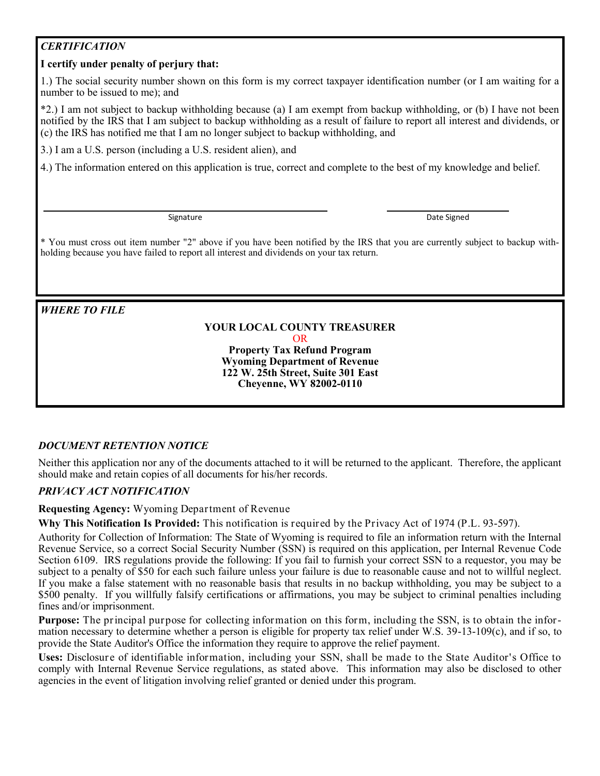# *CERTIFICATION*

## **I certify under penalty of perjury that:**

1.) The social security number shown on this form is my correct taxpayer identification number (or I am waiting for a number to be issued to me); and

\*2.) I am not subject to backup withholding because (a) I am exempt from backup withholding, or (b) I have not been notified by the IRS that I am subject to backup withholding as a result of failure to report all interest and dividends, or (c) the IRS has notified me that I am no longer subject to backup withholding, and

3.) I am a U.S. person (including a U.S. resident alien), and

4.) The information entered on this application is true, correct and complete to the best of my knowledge and belief.

Signature Date Signed

\* You must cross out item number "2" above if you have been notified by the IRS that you are currently subject to backup withholding because you have failed to report all interest and dividends on your tax return.

*WHERE TO FILE*

### **YOUR LOCAL COUNTY TREASURER** OR **Property Tax Refund Program**

**Wyoming Department of Revenue 122 W. 25th Street, Suite 301 East Cheyenne, WY 82002-0110**

### *DOCUMENT RETENTION NOTICE*

Neither this application nor any of the documents attached to it will be returned to the applicant. Therefore, the applicant should make and retain copies of all documents for his/her records.

### *PRIVACY ACT NOTIFICATION*

**Requesting Agency:** Wyoming Department of Revenue

**Why This Notification Is Provided:** This notification is required by the Privacy Act of 1974 (P.L. 93-597).

Authority for Collection of Information: The State of Wyoming is required to file an information return with the Internal Revenue Service, so a correct Social Security Number (SSN) is required on this application, per Internal Revenue Code Section 6109. IRS regulations provide the following: If you fail to furnish your correct SSN to a requestor, you may be subject to a penalty of \$50 for each such failure unless your failure is due to reasonable cause and not to willful neglect. If you make a false statement with no reasonable basis that results in no backup withholding, you may be subject to a \$500 penalty. If you willfully falsify certifications or affirmations, you may be subject to criminal penalties including fines and/or imprisonment.

**Purpose:** The principal purpose for collecting information on this form, including the SSN, is to obtain the information necessary to determine whether a person is eligible for property tax relief under W.S. 39-13-109(c), and if so, to provide the State Auditor's Office the information they require to approve the relief payment.

**Uses:** Disclosure of identifiable information, including your SSN, shall be made to the State Auditor's Office to comply with Internal Revenue Service regulations, as stated above. This information may also be disclosed to other agencies in the event of litigation involving relief granted or denied under this program.